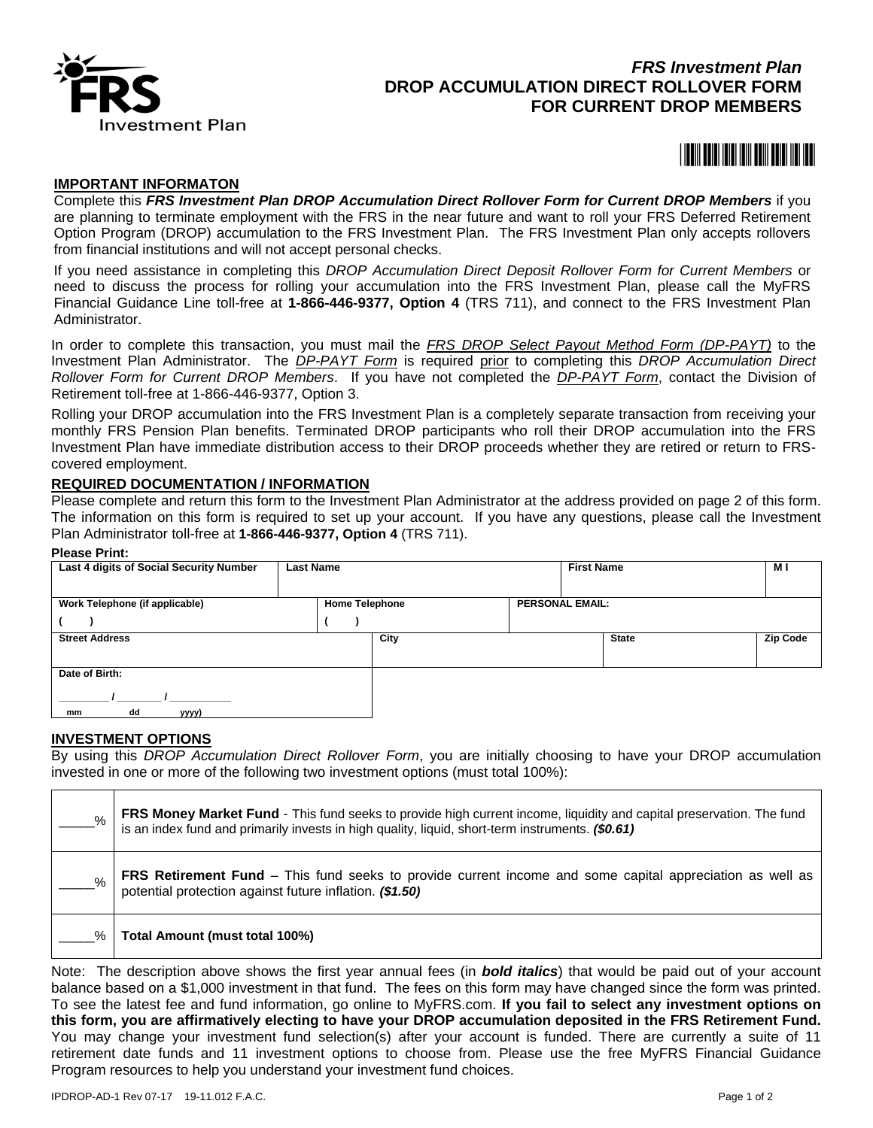

# *FRS Investment Plan* **DROP ACCUMULATION DIRECT ROLLOVER FORM FOR CURRENT DROP MEMBERS**

# <u>\*108001 108801 108801 108801 1108801 1108801 1108801 1108801 1108801 1108801 1108801 1108801 1108801 1108801 1</u>

#### **IMPORTANT INFORMATON**

Complete this *FRS Investment Plan DROP Accumulation Direct Rollover Form for Current DROP Members* if you are planning to terminate employment with the FRS in the near future and want to roll your FRS Deferred Retirement Option Program (DROP) accumulation to the FRS Investment Plan. The FRS Investment Plan only accepts rollovers from financial institutions and will not accept personal checks.

If you need assistance in completing this *DROP Accumulation Direct Deposit Rollover Form for Current Members* or need to discuss the process for rolling your accumulation into the FRS Investment Plan, please call the MyFRS Financial Guidance Line toll-free at **1-866-446-9377, Option 4** (TRS 711), and connect to the FRS Investment Plan Administrator.

In order to complete this transaction, you must mail the *FRS DROP Select Payout Method Form (DP-PAYT)* to the Investment Plan Administrator. The *DP-PAYT Form* is required prior to completing this *DROP Accumulation Direct Rollover Form for Current DROP Members*. If you have not completed the *DP-PAYT Form*, contact the Division of Retirement toll-free at 1-866-446-9377, Option 3.

Rolling your DROP accumulation into the FRS Investment Plan is a completely separate transaction from receiving your monthly FRS Pension Plan benefits. Terminated DROP participants who roll their DROP accumulation into the FRS Investment Plan have immediate distribution access to their DROP proceeds whether they are retired or return to FRScovered employment.

#### **REQUIRED DOCUMENTATION / INFORMATION**

Please complete and return this form to the Investment Plan Administrator at the address provided on page 2 of this form. The information on this form is required to set up your account. If you have any questions, please call the Investment Plan Administrator toll-free at **1-866-446-9377, Option 4** (TRS 711).

#### **Please Print:**

| Last 4 digits of Social Security Number                 | <b>Last Name</b> |      | <b>First Name</b>      | мı              |  |
|---------------------------------------------------------|------------------|------|------------------------|-----------------|--|
|                                                         |                  |      |                        |                 |  |
| Work Telephone (if applicable)<br><b>Home Telephone</b> |                  |      | <b>PERSONAL EMAIL:</b> |                 |  |
|                                                         |                  |      |                        |                 |  |
| <b>Street Address</b>                                   |                  | City | <b>State</b>           | <b>Zip Code</b> |  |
|                                                         |                  |      |                        |                 |  |
| Date of Birth:                                          |                  |      |                        |                 |  |
| dd<br>yyyy)<br>mm                                       |                  |      |                        |                 |  |

## **INVESTMENT OPTIONS**

By using this *DROP Accumulation Direct Rollover Form*, you are initially choosing to have your DROP accumulation invested in one or more of the following two investment options (must total 100%):

| $\%$ | FRS Money Market Fund - This fund seeks to provide high current income, liquidity and capital preservation. The fund<br>is an index fund and primarily invests in high quality, liquid, short-term instruments. (\$0.61) |
|------|--------------------------------------------------------------------------------------------------------------------------------------------------------------------------------------------------------------------------|
| %    | <b>FRS Retirement Fund</b> – This fund seeks to provide current income and some capital appreciation as well as<br>potential protection against future inflation. (\$1.50)                                               |
| ℅    | Total Amount (must total 100%)                                                                                                                                                                                           |
|      |                                                                                                                                                                                                                          |

Note: The description above shows the first year annual fees (in *bold italics*) that would be paid out of your account balance based on a \$1,000 investment in that fund. The fees on this form may have changed since the form was printed. To see the latest fee and fund information, go online to MyFRS.com. **If you fail to select any investment options on this form, you are affirmatively electing to have your DROP accumulation deposited in the FRS Retirement Fund.** You may change your investment fund selection(s) after your account is funded. There are currently a suite of 11 retirement date funds and 11 investment options to choose from. Please use the free MyFRS Financial Guidance Program resources to help you understand your investment fund choices.